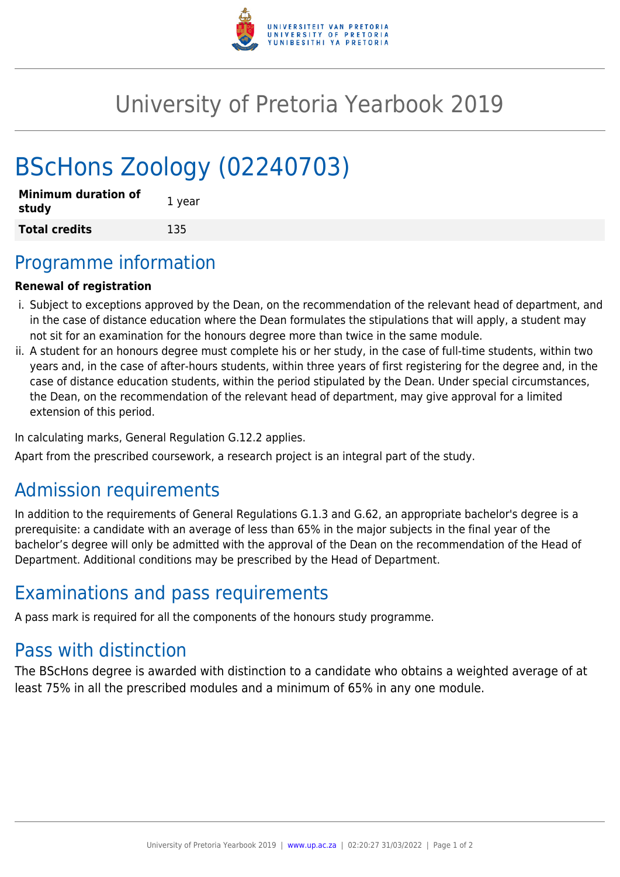

# University of Pretoria Yearbook 2019

# BScHons Zoology (02240703)

| <b>Minimum duration of</b><br>study | 1 year |
|-------------------------------------|--------|
| <b>Total credits</b>                | 135    |

### Programme information

#### **Renewal of registration**

- i. Subject to exceptions approved by the Dean, on the recommendation of the relevant head of department, and in the case of distance education where the Dean formulates the stipulations that will apply, a student may not sit for an examination for the honours degree more than twice in the same module.
- ii. A student for an honours degree must complete his or her study, in the case of full-time students, within two years and, in the case of after-hours students, within three years of first registering for the degree and, in the case of distance education students, within the period stipulated by the Dean. Under special circumstances, the Dean, on the recommendation of the relevant head of department, may give approval for a limited extension of this period.

In calculating marks, General Regulation G.12.2 applies.

Apart from the prescribed coursework, a research project is an integral part of the study.

### Admission requirements

In addition to the requirements of General Regulations G.1.3 and G.62, an appropriate bachelor's degree is a prerequisite: a candidate with an average of less than 65% in the major subjects in the final year of the bachelor's degree will only be admitted with the approval of the Dean on the recommendation of the Head of Department. Additional conditions may be prescribed by the Head of Department.

### Examinations and pass requirements

A pass mark is required for all the components of the honours study programme.

## Pass with distinction

The BScHons degree is awarded with distinction to a candidate who obtains a weighted average of at least 75% in all the prescribed modules and a minimum of 65% in any one module.